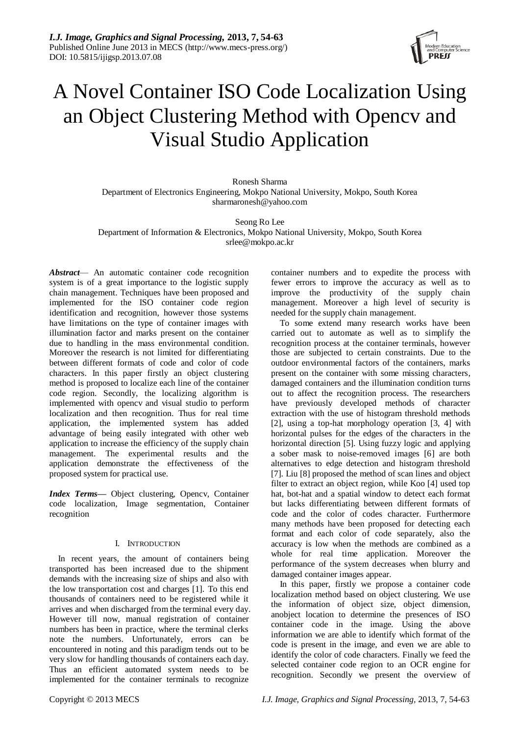

# A Novel Container ISO Code Localization Using an Object Clustering Method with Opencv and Visual Studio Application

Ronesh Sharma Department of Electronics Engineering, Mokpo National University, Mokpo, South Korea sharmaronesh@yahoo.com

Seong Ro Lee Department of Information & Electronics, Mokpo National University, Mokpo, South Korea srlee@mokpo.ac.kr

*Abstract*— An automatic container code recognition system is of a great importance to the logistic supply chain management. Techniques have been proposed and implemented for the ISO container code region identification and recognition, however those systems have limitations on the type of container images with illumination factor and marks present on the container due to handling in the mass environmental condition. Moreover the research is not limited for differentiating between different formats of code and color of code characters. In this paper firstly an object clustering method is proposed to localize each line of the container code region. Secondly, the localizing algorithm is implemented with opencv and visual studio to perform localization and then recognition. Thus for real time application, the implemented system has added advantage of being easily integrated with other web application to increase the efficiency of the supply chain management. The experimental results and the application demonstrate the effectiveness of the proposed system for practical use.

*Index Terms—* Object clustering, Opencv, Container code localization, Image segmentation, Container recognition

# I. INTRODUCTION

In recent years, the amount of containers being transported has been increased due to the shipment demands with the increasing size of ships and also with the low transportation cost and charges [1]. To this end thousands of containers need to be registered while it arrives and when discharged from the terminal every day. However till now, manual registration of container numbers has been in practice, where the terminal clerks note the numbers. Unfortunately, errors can be encountered in noting and this paradigm tends out to be very slow for handling thousands of containers each day. Thus an efficient automated system needs to be implemented for the container terminals to recognize

container numbers and to expedite the process with fewer errors to improve the accuracy as well as to improve the productivity of the supply chain management. Moreover a high level of security is needed for the supply chain management.

To some extend many research works have been carried out to automate as well as to simplify the recognition process at the container terminals, however those are subjected to certain constraints. Due to the outdoor environmental factors of the containers, marks present on the container with some missing characters, damaged containers and the illumination condition turns out to affect the recognition process. The researchers have previously developed methods of character extraction with the use of histogram threshold methods [2], using a top-hat morphology operation [3, 4] with horizontal pulses for the edges of the characters in the horizontal direction [5]. Using fuzzy logic and applying a sober mask to noise-removed images [6] are both alternatives to edge detection and histogram threshold [7]. Liu [8] proposed the method of scan lines and object filter to extract an object region, while Koo [4] used top hat, bot-hat and a spatial window to detect each format but lacks differentiating between different formats of code and the color of codes character. Furthermore many methods have been proposed for detecting each format and each color of code separately, also the accuracy is low when the methods are combined as a whole for real time application. Moreover the performance of the system decreases when blurry and damaged container images appear.

In this paper, firstly we propose a container code localization method based on object clustering. We use the information of object size, object dimension, anobject location to determine the presences of ISO container code in the image. Using the above information we are able to identify which format of the code is present in the image, and even we are able to identify the color of code characters. Finally we feed the selected container code region to an OCR engine for recognition. Secondly we present the overview of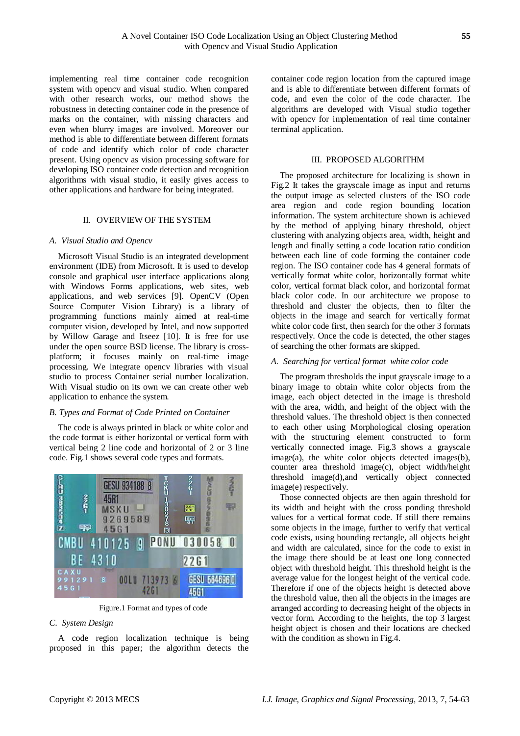implementing real time container code recognition system with opencv and visual studio. When compared with other research works, our method shows the robustness in detecting container code in the presence of marks on the container, with missing characters and even when blurry images are involved. Moreover our method is able to differentiate between different formats of code and identify which color of code character present. Using opencv as vision processing software for developing ISO container code detection and recognition algorithms with visual studio, it easily gives access to other applications and hardware for being integrated.

## II. OVERVIEW OF THE SYSTEM

#### *A. Visual Studio and Opencv*

Microsoft Visual Studio is an integrated development environment (IDE) from Microsoft. It is used to develop console and graphical user interface applications along with Windows Forms applications, web sites, web applications, and web services [9]. OpenCV (Open Source Computer Vision Library) is a library of programming functions mainly aimed at real-time computer vision, developed by Intel, and now supported by Willow Garage and Itseez [10]. It is free for use under the open source BSD license. The library is crossplatform; it focuses mainly on real-time image processing. We integrate opencv libraries with visual studio to process Container serial number localization. With Visual studio on its own we can create other web application to enhance the system.

#### *B. Types and Format of Code Printed on Container*

The code is always printed in black or white color and the code format is either horizontal or vertical form with vertical being 2 line code and horizontal of 2 or 3 line code. Fig.1 shows several code types and formats.



Figure.1 Format and types of code

## *C. System Design*

A code region localization technique is being proposed in this paper; the algorithm detects the

container code region location from the captured image and is able to differentiate between different formats of code, and even the color of the code character. The algorithms are developed with Visual studio together with opencv for implementation of real time container terminal application.

### III. PROPOSED ALGORITHM

The proposed architecture for localizing is shown in Fig.2 It takes the grayscale image as input and returns the output image as selected clusters of the ISO code area region and code region bounding location information. The system architecture shown is achieved by the method of applying binary threshold, object clustering with analyzing objects area, width, height and length and finally setting a code location ratio condition between each line of code forming the container code region. The ISO container code has 4 general formats of vertically format white color, horizontally format white color, vertical format black color, and horizontal format black color code. In our architecture we propose to threshold and cluster the objects, then to filter the objects in the image and search for vertically format white color code first, then search for the other 3 formats respectively. Once the code is detected, the other stages of searching the other formats are skipped.

# *A. Searching for vertical format white color code*

The program thresholds the input grayscale image to a binary image to obtain white color objects from the image, each object detected in the image is threshold with the area, width, and height of the object with the threshold values. The threshold object is then connected to each other using Morphological closing operation with the structuring element constructed to form vertically connected image. Fig.3 shows a grayscale image(a), the white color objects detected images(b), counter area threshold image(c), object width/height threshold image(d),and vertically object connected image(e) respectively.

Those connected objects are then again threshold for its width and height with the cross ponding threshold values for a vertical format code. If still there remains some objects in the image, further to verify that vertical code exists, using bounding rectangle, all objects height and width are calculated, since for the code to exist in the image there should be at least one long connected object with threshold height. This threshold height is the average value for the longest height of the vertical code. Therefore if one of the objects height is detected above the threshold value, then all the objects in the images are arranged according to decreasing height of the objects in vector form. According to the heights, the top 3 largest height object is chosen and their locations are checked with the condition as shown in Fig.4.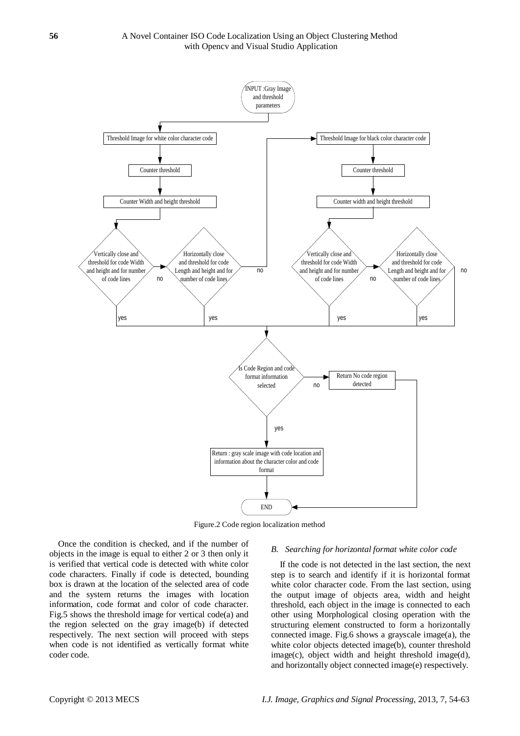

Figure.2 Code region localization method

Once the condition is checked, and if the number of objects in the image is equal to either 2 or 3 then only it is verified that vertical code is detected with white color code characters. Finally if code is detected, bounding box is drawn at the location of the selected area of code and the system returns the images with location information, code format and color of code character. Fig.5 shows the threshold image for vertical code(a) and the region selected on the gray image(b) if detected respectively. The next section will proceed with steps when code is not identified as vertically format white coder code.

#### *B. Searching for horizontal format white color code*

If the code is not detected in the last section, the next step is to search and identify if it is horizontal format white color character code. From the last section, using the output image of objects area, width and height threshold, each object in the image is connected to each other using Morphological closing operation with the structuring element constructed to form a horizontally connected image. Fig.6 shows a grayscale image(a), the white color objects detected image(b), counter threshold image(c), object width and height threshold image(d), and horizontally object connected image(e) respectively.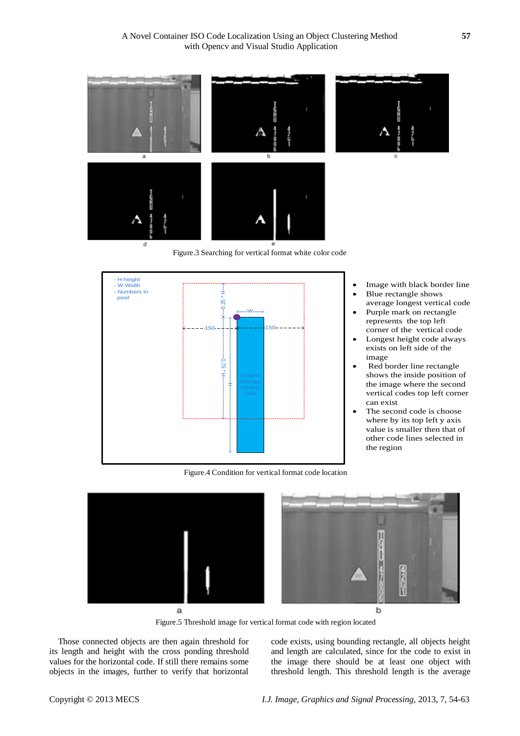

Figure.3 Searching for vertical format white color code



- 
- represents the top left<br>corner of the vertical code Longest height code always
- exists on left side of the
- image<br>Red border line rectangle shows the inside position of the image where the second vertical codes top left corner can exist<br>The second code is choose
- where by its top left y axis value is smaller then that of other code lines selected in the region

Figure.4 Condition for vertical format code location



Figure.5 Threshold image for vertical format code with region located

Those connected objects are then again threshold for its length and height with the cross ponding threshold values for the horizontal code. If still there remains some objects in the images, further to verify that horizontal

code exists, using bounding rectangle, all objects height and length are calculated, since for the code to exist in the image there should be at least one object with threshold length. This threshold length is the average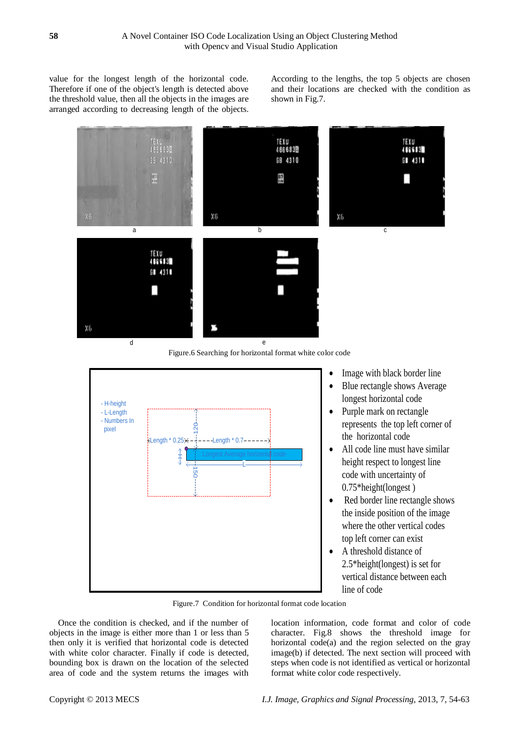value for the longest length of the horizontal code. Therefore if one of the object's length is detected above the threshold value, then all the objects in the images are arranged according to decreasing length of the objects.

According to the lengths, the top 5 objects are chosen and their locations are checked with the condition as shown in Fig.7.



Figure.6 Searching for horizontal format white color code



- 
- 
- the horizontal code
- All code line must have similar height respect to longest line code with uncertainty of 0.75\*height(longest )
- Red border line rectangle shows the inside position of the image where the other vertical codes top left corner can exist
- A threshold distance of 2.5\*height(longest) is set for vertical distance between each line of code

Figure.7 Condition for horizontal format code location

Once the condition is checked, and if the number of objects in the image is either more than 1 or less than 5 then only it is verified that horizontal code is detected with white color character. Finally if code is detected, bounding box is drawn on the location of the selected area of code and the system returns the images with

location information, code format and color of code character. Fig.8 shows the threshold image for horizontal code(a) and the region selected on the gray image(b) if detected. The next section will proceed with steps when code is not identified as vertical or horizontal format white color code respectively.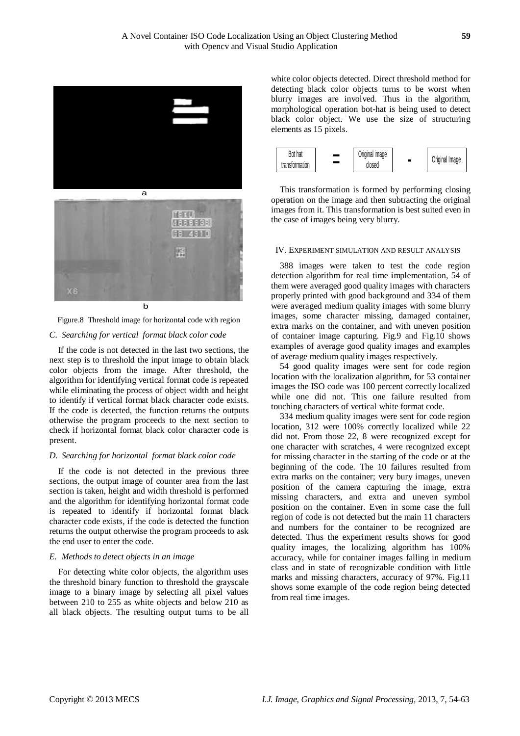

Figure.8 Threshold image for horizontal code with region

### *C. Searching for vertical format black color code*

If the code is not detected in the last two sections, the next step is to threshold the input image to obtain black color objects from the image. After threshold, the algorithm for identifying vertical format code is repeated while eliminating the process of object width and height to identify if vertical format black character code exists. If the code is detected, the function returns the outputs otherwise the program proceeds to the next section to check if horizontal format black color character code is present.

### *D. Searching for horizontal format black color code*

If the code is not detected in the previous three sections, the output image of counter area from the last section is taken, height and width threshold is performed and the algorithm for identifying horizontal format code is repeated to identify if horizontal format black character code exists, if the code is detected the function returns the output otherwise the program proceeds to ask the end user to enter the code.

### *E. Methods to detect objects in an image*

For detecting white color objects, the algorithm uses the threshold binary function to threshold the grayscale image to a binary image by selecting all pixel values between 210 to 255 as white objects and below 210 as all black objects. The resulting output turns to be all

white color objects detected. Direct threshold method for detecting black color objects turns to be worst when blurry images are involved. Thus in the algorithm, morphological operation bot-hat is being used to detect black color object. We use the size of structuring elements as 15 pixels.



This transformation is formed by performing closing operation on the image and then subtracting the original images from it. This transformation is best suited even in the case of images being very blurry.

## IV. EXPERIMENT SIMULATION AND RESULT ANALYSIS

388 images were taken to test the code region detection algorithm for real time implementation, 54 of them were averaged good quality images with characters properly printed with good background and 334 of them were averaged medium quality images with some blurry images, some character missing, damaged container, extra marks on the container, and with uneven position of container image capturing. Fig.9 and Fig.10 shows examples of average good quality images and examples of average medium quality images respectively.

54 good quality images were sent for code region location with the localization algorithm, for 53 container images the ISO code was 100 percent correctly localized while one did not. This one failure resulted from touching characters of vertical white format code.

334 medium quality images were sent for code region location, 312 were 100% correctly localized while 22 did not. From those 22, 8 were recognized except for one character with scratches, 4 were recognized except for missing character in the starting of the code or at the beginning of the code. The 10 failures resulted from extra marks on the container; very bury images, uneven position of the camera capturing the image, extra missing characters, and extra and uneven symbol position on the container. Even in some case the full region of code is not detected but the main 11 characters and numbers for the container to be recognized are detected. Thus the experiment results shows for good quality images, the localizing algorithm has 100% accuracy, while for container images falling in medium class and in state of recognizable condition with little marks and missing characters, accuracy of 97%. Fig.11 shows some example of the code region being detected from real time images.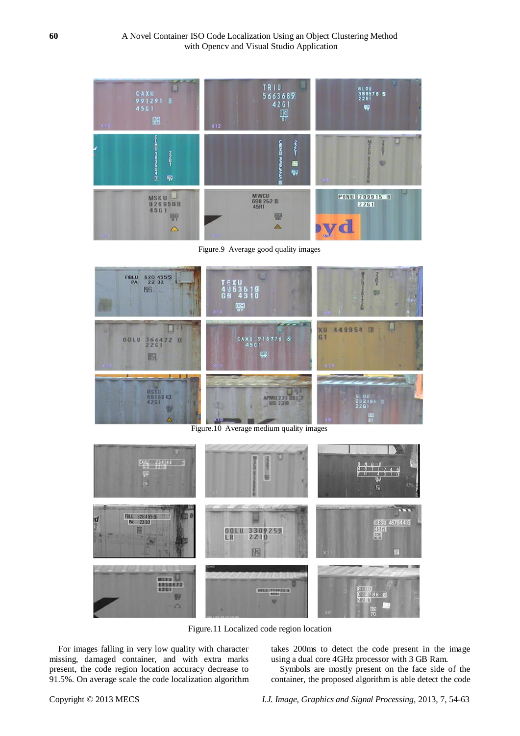

Figure.9 Average good quality images



Figure.10 Average medium quality images



Figure.11 Localized code region location

For images falling in very low quality with character missing, damaged container, and with extra marks present, the code region location accuracy decrease to 91.5%. On average scale the code localization algorithm takes 200ms to detect the code present in the image using a dual core 4GHz processor with 3 GB Ram.

Symbols are mostly present on the face side of the container, the proposed algorithm is able detect the code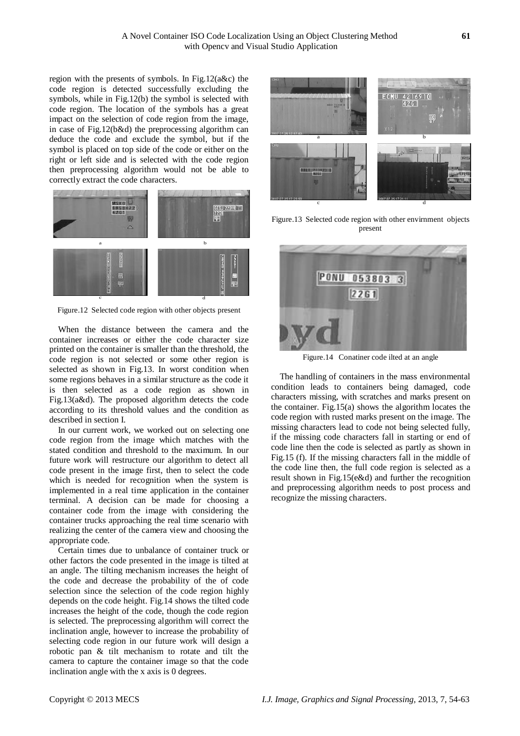region with the presents of symbols. In Fig.12(a&c) the code region is detected successfully excluding the symbols, while in Fig.12(b) the symbol is selected with code region. The location of the symbols has a great impact on the selection of code region from the image, in case of Fig.12(b&d) the preprocessing algorithm can deduce the code and exclude the symbol, but if the symbol is placed on top side of the code or either on the right or left side and is selected with the code region then preprocessing algorithm would not be able to correctly extract the code characters.



Figure.12 Selected code region with other objects present

When the distance between the camera and the container increases or either the code character size printed on the container is smaller than the threshold, the code region is not selected or some other region is selected as shown in Fig.13. In worst condition when some regions behaves in a similar structure as the code it is then selected as a code region as shown in Fig.13(a&d). The proposed algorithm detects the code according to its threshold values and the condition as described in section I.

In our current work, we worked out on selecting one code region from the image which matches with the stated condition and threshold to the maximum. In our future work will restructure our algorithm to detect all code present in the image first, then to select the code which is needed for recognition when the system is implemented in a real time application in the container terminal. A decision can be made for choosing a container code from the image with considering the container trucks approaching the real time scenario with realizing the center of the camera view and choosing the appropriate code.

Certain times due to unbalance of container truck or other factors the code presented in the image is tilted at an angle. The tilting mechanism increases the height of the code and decrease the probability of the of code selection since the selection of the code region highly depends on the code height. Fig.14 shows the tilted code increases the height of the code, though the code region is selected. The preprocessing algorithm will correct the inclination angle, however to increase the probability of selecting code region in our future work will design a robotic pan & tilt mechanism to rotate and tilt the camera to capture the container image so that the code inclination angle with the x axis is 0 degrees.



Figure.13 Selected code region with other envirnment objects present



Figure.14 Conatiner code ilted at an angle

The handling of containers in the mass environmental condition leads to containers being damaged, code characters missing, with scratches and marks present on the container. Fig.15(a) shows the algorithm locates the code region with rusted marks present on the image. The missing characters lead to code not being selected fully, if the missing code characters fall in starting or end of code line then the code is selected as partly as shown in Fig.15 (f). If the missing characters fall in the middle of the code line then, the full code region is selected as a result shown in Fig.15(e&d) and further the recognition and preprocessing algorithm needs to post process and recognize the missing characters.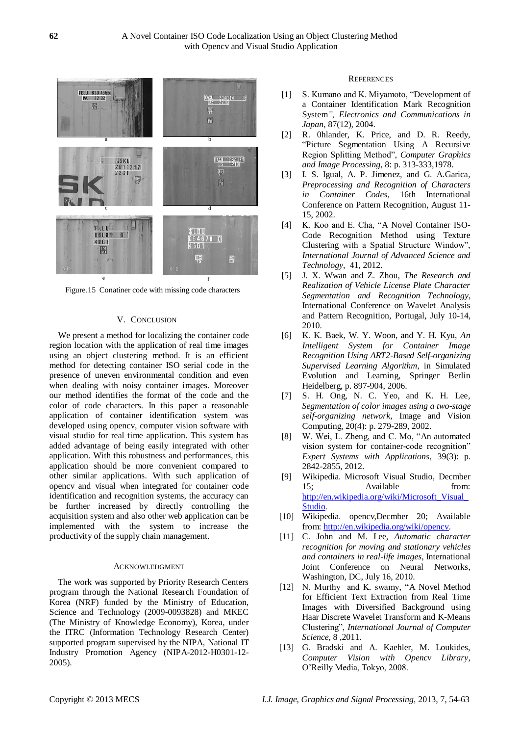

Figure.15 Conatiner code with missing code characters

## V. CONCLUSION

We present a method for localizing the container code region location with the application of real time images using an object clustering method. It is an efficient method for detecting container ISO serial code in the presence of uneven environmental condition and even when dealing with noisy container images. Moreover our method identifies the format of the code and the color of code characters. In this paper a reasonable application of container identification system was developed using opencv, computer vision software with visual studio for real time application. This system has added advantage of being easily integrated with other application. With this robustness and performances, this application should be more convenient compared to other similar applications. With such application of opencv and visual when integrated for container code identification and recognition systems, the accuracy can be further increased by directly controlling the acquisition system and also other web application can be implemented with the system to increase the productivity of the supply chain management.

### ACKNOWLEDGMENT

The work was supported by Priority Research Centers program through the National Research Foundation of Korea (NRF) funded by the Ministry of Education, Science and Technology (2009-0093828) and MKEC (The Ministry of Knowledge Economy), Korea, under the ITRC (Information Technology Research Center) supported program supervised by the NIPA, National IT Industry Promotion Agency (NIPA-2012-H0301-12- 2005).

### **REFERENCES**

- [1] S. Kumano and K. Miyamoto, "Development of a Container Identification Mark Recognition System*", Electronics and Communications in Japan*, 87(12), 2004.
- [2] R. 0hlander, K. Price, and D. R. Reedy, "Picture Segmentation Using A Recursive Region Splitting Method", *Computer Graphics and Image Processing*, 8: p. 313-333,1978.
- [3] I. S. Igual, A. P. Jimenez, and G. A.Garica, *Preprocessing and Recognition of Characters in Container Codes*, 16th International Conference on Pattern Recognition, August 11- 15, 2002.
- [4] K. Koo and E. Cha, "A Novel Container ISO-Code Recognition Method using Texture Clustering with a Spatial Structure Window", *International Journal of Advanced Science and Technology*, 41, 2012.
- [5] J. X. Wwan and Z. Zhou, *The Research and Realization of Vehicle License Plate Character Segmentation and Recognition Technology*, International Conference on Wavelet Analysis and Pattern Recognition, Portugal, July 10-14, 2010.
- [6] K. K. Baek, W. Y. Woon, and Y. H. Kyu, *An Intelligent System for Container Image Recognition Using ART2-Based Self-organizing Supervised Learning Algorithm*, in Simulated Evolution and Learning, Springer Berlin Heidelberg, p. 897-904, 2006.
- [7] S. H. Ong, N. C. Yeo, and K. H. Lee, *Segmentation of color images using a two-stage self-organizing network*, Image and Vision Computing, 20(4): p. 279-289, 2002.
- [8] W. Wei, L. Zheng, and C. Mo, "An automated vision system for container-code recognition" *Expert Systems with Applications*, 39(3): p. 2842-2855, 2012.
- [9] Wikipedia. Microsoft Visual Studio, Decmber 15; Available from: [http://en.wikipedia.org/wiki/Microsoft\\_Visual\\_](http://en.wikipedia.org/wiki/Microsoft_Visual_Studio) [Studio.](http://en.wikipedia.org/wiki/Microsoft_Visual_Studio)
- [10] Wikipedia. opencv,Decmber 20; Available from[: http://en.wikipedia.org/wiki/opencv.](http://en.wikipedia.org/wiki/opencv)
- [11] C. John and M. Lee, *Automatic character recognition for moving and stationary vehicles and containers in real-life images*, International Joint Conference on Neural Networks, Washington, DC, July 16, 2010.
- [12] N. Murthy and K. swamy, "A Novel Method for Efficient Text Extraction from Real Time Images with Diversified Background using Haar Discrete Wavelet Transform and K-Means Clustering", *International Journal of Computer Science*, 8 ,2011.
- [13] G. Bradski and A. Kaehler, M. Loukides, *Computer Vision with Opencv Library*, O'Reilly Media, Tokyo, 2008.